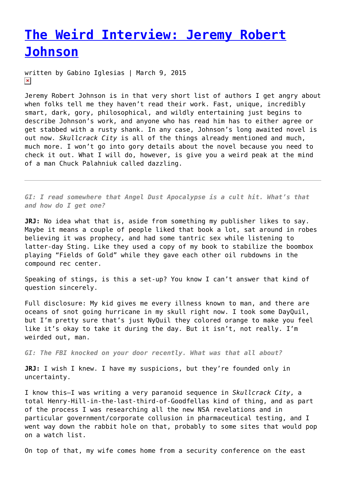## **[The Weird Interview: Jeremy Robert](https://entropymag.org/the-weird-interview-jeremy-robert-johnson/) [Johnson](https://entropymag.org/the-weird-interview-jeremy-robert-johnson/)**

written by Gabino Iglesias | March 9, 2015  $\pmb{\times}$ 

Jeremy Robert Johnson is in that very short list of authors I get angry about when folks tell me they haven't read their work. Fast, unique, incredibly smart, dark, gory, philosophical, and wildly entertaining just begins to describe Johnson's work, and anyone who has read him has to either agree or get stabbed with a rusty shank. In any case, Johnson's long awaited novel is out now. *Skullcrack City* is all of the things already mentioned and much, much more. I won't go into gory details about the novel because you need to check it out. What I will do, however, is give you a weird peak at the mind of a man Chuck Palahniuk called dazzling.

*GI: I read somewhere that Angel Dust Apocalypse is a cult hit. What's that and how do I get one?*

**JRJ:** No idea what that is, aside from something my publisher likes to say. Maybe it means a couple of people liked that book a lot, sat around in robes believing it was prophecy, and had some tantric sex while listening to latter-day Sting. Like they used a copy of my book to stabilize the boombox playing "Fields of Gold" while they gave each other oil rubdowns in the compound rec center.

Speaking of stings, is this a set-up? You know I can't answer that kind of question sincerely.

Full disclosure: My kid gives me every illness known to man, and there are oceans of snot going hurricane in my skull right now. I took some DayQuil, but I'm pretty sure that's just NyQuil they colored orange to make you feel like it's okay to take it during the day. But it isn't, not really. I'm weirded out, man.

*GI: The FBI knocked on your door recently. What was that all about?*

**JRJ:** I wish I knew. I have my suspicions, but they're founded only in uncertainty.

I know this—I was writing a very paranoid sequence in *Skullcrack City*, a total Henry-Hill-in-the-last-third-of-Goodfellas kind of thing, and as part of the process I was researching all the new NSA revelations and in particular government/corporate collusion in pharmaceutical testing, and I went way down the rabbit hole on that, probably to some sites that would pop on a watch list.

On top of that, my wife comes home from a security conference on the east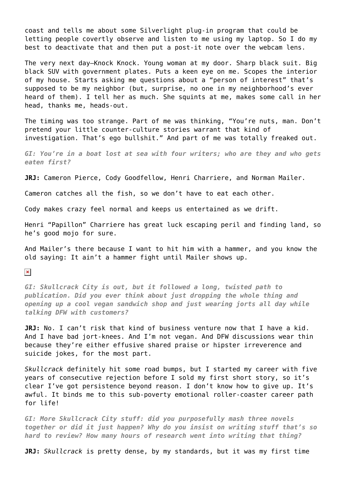coast and tells me about some Silverlight plug-in program that could be letting people covertly observe and listen to me using my laptop. So I do my best to deactivate that and then put a post-it note over the webcam lens.

The very next day—Knock Knock. Young woman at my door. Sharp black suit. Big black SUV with government plates. Puts a keen eye on me. Scopes the interior of my house. Starts asking me questions about a "person of interest" that's supposed to be my neighbor (but, surprise, no one in my neighborhood's ever heard of them). I tell her as much. She squints at me, makes some call in her head, thanks me, heads-out.

The timing was too strange. Part of me was thinking, "You're nuts, man. Don't pretend your little counter-culture stories warrant that kind of investigation. That's ego bullshit." And part of me was totally freaked out.

*GI: You're in a boat lost at sea with four writers; who are they and who gets eaten first?*

**JRJ:** Cameron Pierce, Cody Goodfellow, Henri Charriere, and Norman Mailer.

Cameron catches all the fish, so we don't have to eat each other.

Cody makes crazy feel normal and keeps us entertained as we drift.

Henri "Papillon" Charriere has great luck escaping peril and finding land, so he's good mojo for sure.

And Mailer's there because I want to hit him with a hammer, and you know the old saying: It ain't a hammer fight until Mailer shows up.

 $\pmb{\times}$ 

*GI: Skullcrack City is out, but it followed a long, twisted path to publication. Did you ever think about just dropping the whole thing and opening up a cool vegan sandwich shop and just wearing jorts all day while talking DFW with customers?*

**JRJ:** No. I can't risk that kind of business venture now that I have a kid. And I have bad jort-knees. And I'm not vegan. And DFW discussions wear thin because they're either effusive shared praise or hipster irreverence and suicide jokes, for the most part.

*Skullcrack* definitely hit some road bumps, but I started my career with five years of consecutive rejection before I sold my first short story, so it's clear I've got persistence beyond reason. I don't know how to give up. It's awful. It binds me to this sub-poverty emotional roller-coaster career path for life!

*GI: More Skullcrack City stuff: did you purposefully mash three novels together or did it just happen? Why do you insist on writing stuff that's so hard to review? How many hours of research went into writing that thing?*

**JRJ:** *Skullcrack* is pretty dense, by my standards, but it was my first time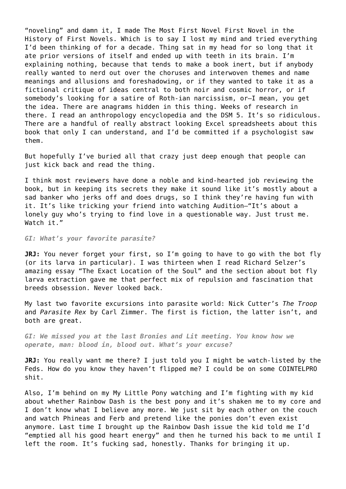"noveling" and damn it, I made The Most First Novel First Novel in the History of First Novels. Which is to say I lost my mind and tried everything I'd been thinking of for a decade. Thing sat in my head for so long that it ate prior versions of itself and ended up with teeth in its brain. I'm explaining nothing, because that tends to make a book inert, but if anybody really wanted to nerd out over the choruses and interwoven themes and name meanings and allusions and foreshadowing, or if they wanted to take it as a fictional critique of ideas central to both noir and cosmic horror, or if somebody's looking for a satire of Roth-ian narcissism, or—I mean, you get the idea. There are anagrams hidden in this thing. Weeks of research in there. I read an anthropology encyclopedia and the DSM 5. It's so ridiculous. There are a handful of really abstract looking Excel spreadsheets about this book that only I can understand, and I'd be committed if a psychologist saw them.

But hopefully I've buried all that crazy just deep enough that people can just kick back and read the thing.

I think most reviewers have done a noble and kind-hearted job reviewing the book, but in keeping its secrets they make it sound like it's mostly about a sad banker who jerks off and does drugs, so I think they're having fun with it. It's like tricking your friend into watching Audition—"It's about a lonely guy who's trying to find love in a questionable way. Just trust me. Watch it."

*GI: What's your favorite parasite?*

**JRJ:** You never forget your first, so I'm going to have to go with the bot fly (or its larva in particular). I was thirteen when I read Richard Selzer's amazing essay "The Exact Location of the Soul" and the section about bot fly larva extraction gave me that perfect mix of repulsion and fascination that breeds obsession. Never looked back.

My last two favorite excursions into parasite world: Nick Cutter's *The Troop* and *Parasite Rex* by Carl Zimmer. The first is fiction, the latter isn't, and both are great.

*GI: We missed you at the last Bronies and Lit meeting. You know how we operate, man: blood in, blood out. What's your excuse?*

**JRJ:** You really want me there? I just told you I might be watch-listed by the Feds. How do you know they haven't flipped me? I could be on some COINTELPRO shit.

Also, I'm behind on my My Little Pony watching and I'm fighting with my kid about whether Rainbow Dash is the best pony and it's shaken me to my core and I don't know what I believe any more. We just sit by each other on the couch and watch Phineas and Ferb and pretend like the ponies don't even exist anymore. Last time I brought up the Rainbow Dash issue the kid told me I'd "emptied all his good heart energy" and then he turned his back to me until I left the room. It's fucking sad, honestly. Thanks for bringing it up.